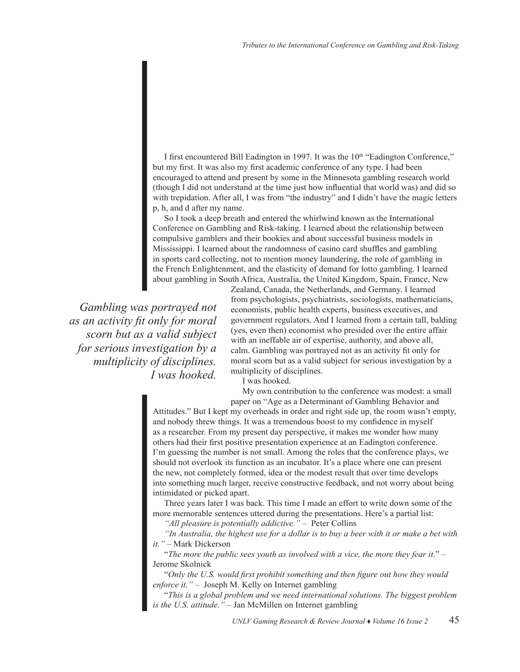I first encountered Bill Eadington in 1997. It was the 10<sup>th</sup> "Eadington Conference," but my first. It was also my first academic conference of any type. I had been encouraged to attend and present by some in the Minnesota gambling research world (though I did not understand at the time just how influential that world was) and did so with trepidation. After all, I was from "the industry" and I didn't have the magic letters p, h, and d after my name.

So I took a deep breath and entered the whirlwind known as the International Conference on Gambling and Risk-taking. I learned about the relationship between compulsive gamblers and their bookies and about successful business models in Mississippi. I learned about the randomness of casino card shuffles and gambling in sports card collecting, not to mention money laundering, the role of gambling in the French Enlightenment, and the elasticity of demand for lotto gambling. I learned about gambling in South Africa, Australia, the United Kingdom, Spain, France, New

*Gambling was portrayed not as an activity fit only for moral scorn but as a valid subject for serious investigation by a multiplicity of disciplines. I was hooked.*

Zealand, Canada, the Netherlands, and Germany. I learned from psychologists, psychiatrists, sociologists, mathematicians, economists, public health experts, business executives, and government regulators. And I learned from a certain tall, balding (yes, even then) economist who presided over the entire affair with an ineffable air of expertise, authority, and above all, calm. Gambling was portrayed not as an activity fit only for moral scorn but as a valid subject for serious investigation by a multiplicity of disciplines.

I was hooked.

My own contribution to the conference was modest: a small paper on "Age as a Determinant of Gambling Behavior and

Attitudes." But I kept my overheads in order and right side up, the room wasn't empty, and nobody threw things. It was a tremendous boost to my confidence in myself as a researcher. From my present day perspective, it makes me wonder how many others had their first positive presentation experience at an Eadington conference. I'm guessing the number is not small. Among the roles that the conference plays, we should not overlook its function as an incubator. It's a place where one can present the new, not completely formed, idea or the modest result that over time develops into something much larger, receive constructive feedback, and not worry about being intimidated or picked apart.

Three years later I was back. This time I made an effort to write down some of the more memorable sentences uttered during the presentations. Here's a partial list:

*"All pleasure is potentially addictive." –* Peter Collins

*"In Australia, the highest use for a dollar is to buy a beer with it or make a bet with it." –* Mark Dickerson

"*The more the public sees youth as involved with a vice, the more they fear it*." – Jerome Skolnick

"*Only the U.S. would first prohibit something and then figure out how they would enforce it." –* Joseph M. Kelly on Internet gambling

"*This is a global problem and we need international solutions. The biggest problem is the U.S. attitude." –* Jan McMillen on Internet gambling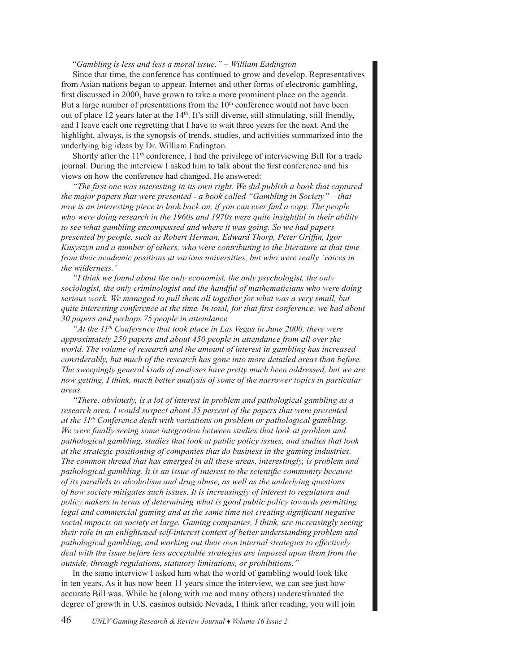## "*Gambling is less and less a moral issue." – William Eadington*

Since that time, the conference has continued to grow and develop. Representatives from Asian nations began to appear. Internet and other forms of electronic gambling, first discussed in 2000, have grown to take a more prominent place on the agenda. But a large number of presentations from the  $10<sup>th</sup>$  conference would not have been out of place 12 years later at the 14<sup>th</sup>. It's still diverse, still stimulating, still friendly, and I leave each one regretting that I have to wait three years for the next. And the highlight, always, is the synopsis of trends, studies, and activities summarized into the underlying big ideas by Dr. William Eadington.

Shortly after the  $11<sup>th</sup>$  conference, I had the privilege of interviewing Bill for a trade journal. During the interview I asked him to talk about the first conference and his views on how the conference had changed. He answered:

*"The first one was interesting in its own right. We did publish a book that captured the major papers that were presented - a book called "Gambling in Society" – that now is an interesting piece to look back on, if you can ever find a copy. The people who were doing research in the 1960s and 1970s were quite insightful in their ability to see what gambling encompassed and where it was going. So we had papers presented by people, such as Robert Herman, Edward Thorp, Peter Griffin, Igor Kusyszyn and a number of others, who were contributing to the literature at that time from their academic positions at various universities, but who were really 'voices in the wilderness.'*

*"I think we found about the only economist, the only psychologist, the only sociologist, the only criminologist and the handful of mathematicians who were doing serious work. We managed to pull them all together for what was a very small, but quite interesting conference at the time. In total, for that first conference, we had about 30 papers and perhaps 75 people in attendance.*

*At the*  $11<sup>th</sup>$  *Conference that took place in Las Vegas in June 2000, there were approximately 250 papers and about 450 people in attendance from all over the world. The volume of research and the amount of interest in gambling has increased considerably, but much of the research has gone into more detailed areas than before. The sweepingly general kinds of analyses have pretty much been addressed, but we are now getting, I think, much better analysis of some of the narrower topics in particular areas.*

*"There, obviously, is a lot of interest in problem and pathological gambling as a research area. I would suspect about 35 percent of the papers that were presented at the 11th Conference dealt with variations on problem or pathological gambling. We were finally seeing some integration between studies that look at problem and pathological gambling, studies that look at public policy issues, and studies that look at the strategic positioning of companies that do business in the gaming industries. The common thread that has emerged in all these areas, interestingly, is problem and pathological gambling. It is an issue of interest to the scientific community because of its parallels to alcoholism and drug abuse, as well as the underlying questions of how society mitigates such issues. It is increasingly of interest to regulators and policy makers in terms of determining what is good public policy towards permitting legal and commercial gaming and at the same time not creating significant negative social impacts on society at large. Gaming companies, I think, are increasingly seeing their role in an enlightened self-interest context of better understanding problem and pathological gambling, and working out their own internal strategies to effectively deal with the issue before less acceptable strategies are imposed upon them from the outside, through regulations, statutory limitations, or prohibitions."*

In the same interview I asked him what the world of gambling would look like in ten years. As it has now been 11 years since the interview, we can see just how accurate Bill was. While he (along with me and many others) underestimated the degree of growth in U.S. casinos outside Nevada, I think after reading, you will join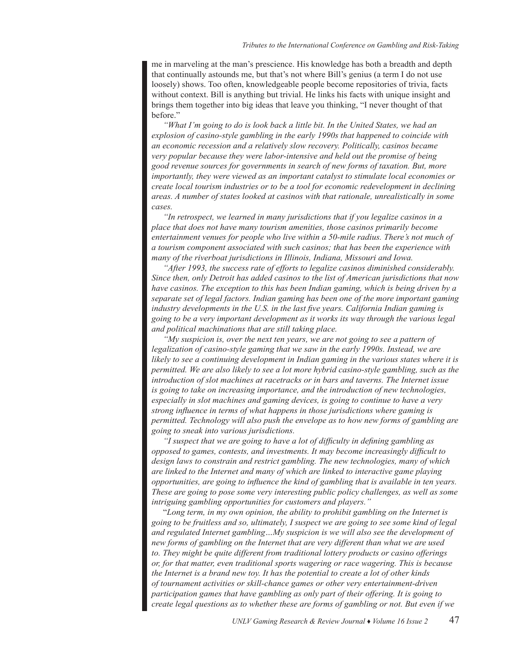me in marveling at the man's prescience. His knowledge has both a breadth and depth that continually astounds me, but that's not where Bill's genius (a term I do not use loosely) shows. Too often, knowledgeable people become repositories of trivia, facts without context. Bill is anything but trivial. He links his facts with unique insight and brings them together into big ideas that leave you thinking, "I never thought of that before."

*"What I'm going to do is look back a little bit. In the United States, we had an explosion of casino-style gambling in the early 1990s that happened to coincide with an economic recession and a relatively slow recovery. Politically, casinos became very popular because they were labor-intensive and held out the promise of being good revenue sources for governments in search of new forms of taxation. But, more importantly, they were viewed as an important catalyst to stimulate local economies or create local tourism industries or to be a tool for economic redevelopment in declining areas. A number of states looked at casinos with that rationale, unrealistically in some cases.*

*"In retrospect, we learned in many jurisdictions that if you legalize casinos in a place that does not have many tourism amenities, those casinos primarily become entertainment venues for people who live within a 50-mile radius. There's not much of a tourism component associated with such casinos; that has been the experience with many of the riverboat jurisdictions in Illinois, Indiana, Missouri and Iowa.*

*"After 1993, the success rate of efforts to legalize casinos diminished considerably. Since then, only Detroit has added casinos to the list of American jurisdictions that now have casinos. The exception to this has been Indian gaming, which is being driven by a separate set of legal factors. Indian gaming has been one of the more important gaming industry developments in the U.S. in the last five years. California Indian gaming is going to be a very important development as it works its way through the various legal and political machinations that are still taking place.*

*"My suspicion is, over the next ten years, we are not going to see a pattern of legalization of casino-style gaming that we saw in the early 1990s. Instead, we are likely to see a continuing development in Indian gaming in the various states where it is permitted. We are also likely to see a lot more hybrid casino-style gambling, such as the introduction of slot machines at racetracks or in bars and taverns. The Internet issue is going to take on increasing importance, and the introduction of new technologies, especially in slot machines and gaming devices, is going to continue to have a very strong influence in terms of what happens in those jurisdictions where gaming is permitted. Technology will also push the envelope as to how new forms of gambling are going to sneak into various jurisdictions.*

*"I suspect that we are going to have a lot of difficulty in defining gambling as opposed to games, contests, and investments. It may become increasingly difficult to design laws to constrain and restrict gambling. The new technologies, many of which are linked to the Internet and many of which are linked to interactive game playing opportunities, are going to influence the kind of gambling that is available in ten years. These are going to pose some very interesting public policy challenges, as well as some intriguing gambling opportunities for customers and players."*

"*Long term, in my own opinion, the ability to prohibit gambling on the Internet is going to be fruitless and so, ultimately, I suspect we are going to see some kind of legal and regulated Internet gambling…My suspicion is we will also see the development of new forms of gambling on the Internet that are very different than what we are used to. They might be quite different from traditional lottery products or casino offerings or, for that matter, even traditional sports wagering or race wagering. This is because the Internet is a brand new toy. It has the potential to create a lot of other kinds of tournament activities or skill-chance games or other very entertainment-driven participation games that have gambling as only part of their offering. It is going to create legal questions as to whether these are forms of gambling or not. But even if we*